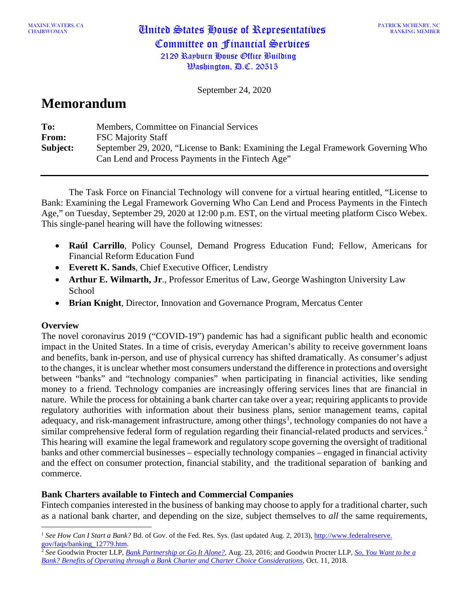MAXINE WATERS, CA<br>CHAIRWOMAN

September 24, 2020

## **Memorandum**

| To:      | Members, Committee on Financial Services                                          |
|----------|-----------------------------------------------------------------------------------|
| From:    | <b>FSC Majority Staff</b>                                                         |
| Subject: | September 29, 2020, "License to Bank: Examining the Legal Framework Governing Who |
|          | Can Lend and Process Payments in the Fintech Age"                                 |

The Task Force on Financial Technology will convene for a virtual hearing entitled, "License to Bank: Examining the Legal Framework Governing Who Can Lend and Process Payments in the Fintech Age," on Tuesday, September 29, 2020 at 12:00 p.m. EST, on the virtual meeting platform Cisco Webex. This single-panel hearing will have the following witnesses:

- **Raúl Carrillo**, Policy Counsel, Demand Progress Education Fund; Fellow, Americans for Financial Reform Education Fund
- **Everett K. Sands**, Chief Executive Officer, Lendistry
- **Arthur E. Wilmarth, Jr**., Professor Emeritus of Law, George Washington University Law School
- **Brian Knight**, Director, Innovation and Governance Program, Mercatus Center

## **Overview**

The novel coronavirus 2019 ("COVID-19") pandemic has had a significant public health and economic impact in the United States. In a time of crisis, everyday American's ability to receive government loans and benefits, bank in-person, and use of physical currency has shifted dramatically. As consumer's adjust to the changes, it is unclear whether most consumers understand the difference in protections and oversight between "banks" and "technology companies" when participating in financial activities, like sending money to a friend. Technology companies are increasingly offering services lines that are financial in nature. While the process for obtaining a bank charter can take over a year; requiring applicants to provide regulatory authorities with information about their business plans, senior management teams, capital adequacy, and risk-management infrastructure, among other things<sup>[1](#page-0-0)</sup>, technology companies do not have a similar comprehensive federal form of regulation regarding their financial-related products and services.<sup>[2](#page-0-1)</sup> This hearing will examine the legal framework and regulatory scope governing the oversight of traditional banks and other commercial businesses – especially technology companies – engaged in financial activity and the effect on consumer protection, financial stability, and the traditional separation of banking and commerce.

## **Bank Charters available to Fintech and Commercial Companies**

Fintech companies interested in the business of banking may choose to apply for a traditional charter, such as a national bank charter, and depending on the size, subject themselves to *all* the same requirements,

<span id="page-0-0"></span><sup>&</sup>lt;sup>1</sup> See How Can I Start a Bank? Bd. of Gov. of the Fed. Res. Sys. (last updated Aug. 2, 2013), [http://www.federalreserve.](http://www.federalreserve.gov/faqs/banking_12779.htm) [gov/faqs/banking\\_12779.htm.](http://www.federalreserve.gov/faqs/banking_12779.htm)

<span id="page-0-1"></span><sup>2</sup> *See* Goodwin Procter LLP, *[Bank Partnership or Go It Alone?](http://www.goodwinlaw.com/publications%20/2016/08/08_23_16-bank-partnership-or-go-it-alone)*, Aug. 23, 2016; and Goodwin Procter LLP, *[So, You Want to be a](https://www.goodwinlaw.com/publications/2018/10/10_11-fintech-flash-so-you-want-to-be-a-bank)  [Bank? Benefits of Operating through a Bank Charter and Charter Choice Considerations](https://www.goodwinlaw.com/publications/2018/10/10_11-fintech-flash-so-you-want-to-be-a-bank)*, Oct. 11, 2018.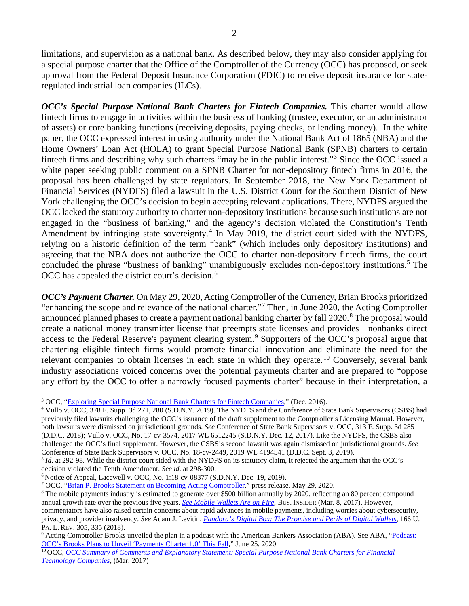2

limitations, and supervision as a national bank. As described below, they may also consider applying for a special purpose charter that the Office of the Comptroller of the Currency (OCC) has proposed, or seek approval from the Federal Deposit Insurance Corporation (FDIC) to receive deposit insurance for stateregulated industrial loan companies (ILCs).

*OCC's Special Purpose National Bank Charters for Fintech Companies.* This charter would allow fintech firms to engage in activities within the business of banking (trustee, executor, or an administrator of assets) or core banking functions (receiving deposits, paying checks, or lending money). In the white paper, the OCC expressed interest in using authority under the National Bank Act of 1865 (NBA) and the Home Owners' Loan Act (HOLA) to grant Special Purpose National Bank (SPNB) charters to certain fintech firms and describing why such charters "may be in the public interest."[3](#page-1-0) Since the OCC issued a white paper seeking public comment on a SPNB Charter for non-depository fintech firms in 2016, the proposal has been challenged by state regulators. In September 2018, the New York Department of Financial Services (NYDFS) filed a lawsuit in the U.S. District Court for the Southern District of New York challenging the OCC's decision to begin accepting relevant applications. There, NYDFS argued the OCC lacked the statutory authority to charter non-depository institutions because such institutions are not engaged in the "business of banking," and the agency's decision violated the Constitution's Tenth Amendment by infringing state sovereignty.<sup>[4](#page-1-1)</sup> In May 2019, the district court sided with the NYDFS, relying on a historic definition of the term "bank" (which includes only depository institutions) and agreeing that the NBA does not authorize the OCC to charter non-depository fintech firms, the court concluded the phrase "business of banking" unambiguously excludes non-depository institutions.<sup>[5](#page-1-2)</sup> The OCC has appealed the district court's decision.<sup>[6](#page-1-3)</sup>

*OCC's Payment Charter.* On May 29, 2020, Acting Comptroller of the Currency, Brian Brooks prioritized "enhancing the scope and relevance of the national charter."[7](#page-1-4) Then, in June 2020, the Acting Comptroller announced planned phases to create a payment national banking charter by fall 2020.<sup>[8](#page-1-5)</sup> The proposal would create a national money transmitter license that preempts state licenses and provides nonbanks direct access to the Federal Reserve's payment clearing system.<sup>[9](#page-1-6)</sup> Supporters of the OCC's proposal argue that chartering eligible fintech firms would promote financial innovation and eliminate the need for the relevant companies to obtain licenses in each state in which they operate.<sup>[10](#page-1-7)</sup> Conversely, several bank industry associations voiced concerns over the potential payments charter and are prepared to "oppose any effort by the OCC to offer a narrowly focused payments charter" because in their interpretation, a

<span id="page-1-3"></span>

<span id="page-1-0"></span><sup>3</sup> OCC, ["Exploring Special Purpose National Bank Charters for Fintech Companies,](http://www.occ.gov/publications-and-resources/publications/banker-education/files/pub-special-purpose-nat-bank-charters-fintech.pdf)" (Dec. 2016).

<span id="page-1-1"></span><sup>4</sup> Vullo v. OCC, 378 F. Supp. 3d 271, 280 (S.D.N.Y. 2019). The NYDFS and the Conference of State Bank Supervisors (CSBS) had previously filed lawsuits challenging the OCC's issuance of the draft supplement to the Comptroller's Licensing Manual. However, both lawsuits were dismissed on jurisdictional grounds. *See* Conference of State Bank Supervisors v. OCC, 313 F. Supp. 3d 285 (D.D.C. 2018); Vullo v. OCC, No. 17-cv-3574, 2017 WL 6512245 (S.D.N.Y. Dec. 12, 2017). Like the NYDFS, the CSBS also challenged the OCC's final supplement. However, the CSBS's second lawsuit was again dismissed on jurisdictional grounds. *See* Conference of State Bank Supervisors v. OCC, No. 18-cv-2449, 2019 WL 4194541 (D.D.C. Sept. 3, 2019).<br><sup>5</sup> *Id.* at 292-98. While the district court sided with the NYDFS on its statutory claim, it rejected the argument that

<span id="page-1-2"></span>decision violated the Tenth Amendment. See id. at 298-300.<br>
<sup>6</sup> Notice of Appeal, Lacewell v. OCC, No. 1:18-cv-08377 (S.D.N.Y. Dec. 19, 2019).<br>
<sup>7</sup> OCC, ["Brian P. Brooks Statement on Becoming Acting Comptroller,"](https://www.occ.gov/news-issuances/news-releases/2020/nr-occ-2020-69.html) press rel

<span id="page-1-4"></span>

<span id="page-1-5"></span><sup>&</sup>lt;sup>8</sup> The mobile payments industry is estimated to generate over \$500 billion annually by 2020, reflecting an 80 percent compound annual growth rate over the previous five years. *See [Mobile Wallets Are on Fire](http://www.businessinsider.com/mastercard-study-shows-mobile-wallets-are-growing-2017-3)*, BUS. INSIDER (Mar. 8, 2017). However, commentators have also raised certain concerns about rapid advances in mobile payments, including worries about cybersecurity, privacy, and provider insolvency. *See* Adam J. Levitin, *[Pandora's Digital Box: The Promise and Perils of Digital Wallets](https://scholarship.law.upenn.edu/penn_law_review/vol166/iss2/1/)*, 166 U. PA. L. REV. 305, 335 (2018).

<span id="page-1-6"></span><sup>9</sup> Acting Comptroller Brooks unveiled the plan in a podcast with the American Bankers Association (ABA). See ABA, ["Podcast:](https://bankingjournal.aba.com/2020/06/podcastoccs-brooks-plans-to-unveil-payments-charter-1-0-this-fall)  OCC's Brooks Plans to [Unveil 'Payments Charter 1.0' This Fall,"](https://bankingjournal.aba.com/2020/06/podcastoccs-brooks-plans-to-unveil-payments-charter-1-0-this-fall) June 25, 2020.

<span id="page-1-7"></span><sup>10</sup> OCC*, [OCC Summary of Comments](https://www.occ.gov/topics/supervision-and-examination/responsible-innovation/summary-explanatory-statement-fintech-charters.pdf) and Explanatory Statement: Special Purpose National Bank Charters for Financial [Technology Companies](https://www.occ.gov/topics/supervision-and-examination/responsible-innovation/summary-explanatory-statement-fintech-charters.pdf)*, (Mar. 2017)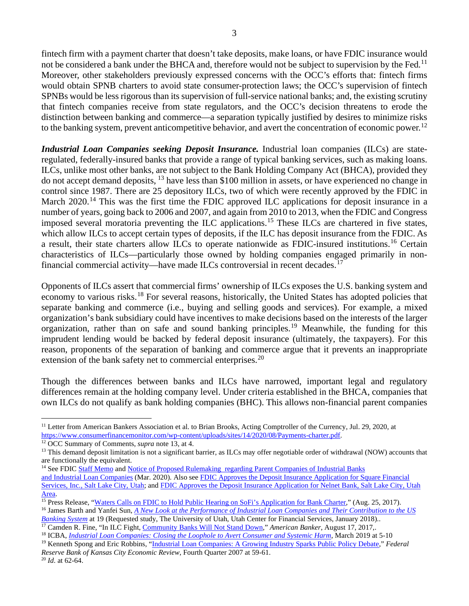fintech firm with a payment charter that doesn't take deposits, make loans, or have FDIC insurance would not be considered a bank under the BHCA and, therefore would not be subject to supervision by the Fed.<sup>[11](#page-2-0)</sup> Moreover, other stakeholders previously expressed concerns with the OCC's efforts that: fintech firms would obtain SPNB charters to avoid state consumer-protection laws; the OCC's supervision of fintech SPNBs would be less rigorous than its supervision of full-service national banks; and, the existing scrutiny that fintech companies receive from state regulators, and the OCC's decision threatens to erode the distinction between banking and commerce—a separation typically justified by desires to minimize risks to the banking system, prevent anticompetitive behavior, and avert the concentration of economic power.<sup>[12](#page-2-1)</sup>

*Industrial Loan Companies seeking Deposit Insurance.* Industrial loan companies (ILCs) are stateregulated, federally-insured banks that provide a range of typical banking services, such as making loans. ILCs, unlike most other banks, are not subject to the Bank Holding Company Act (BHCA), provided they do not accept demand deposits, [13](#page-2-2) have less than \$100 million in assets, or have experienced no change in control since 1987. There are 25 depository ILCs, two of which were recently approved by the FDIC in March 2020.<sup>[14](#page-2-3)</sup> This was the first time the FDIC approved ILC applications for deposit insurance in a number of years, going back to 2006 and 2007, and again from 2010 to 2013, when the FDIC and Congress imposed several moratoria preventing the ILC applications.<sup>[15](#page-2-4)</sup> These ILCs are chartered in five states, which allow ILCs to accept certain types of deposits, if the ILC has deposit insurance from the FDIC. As a result, their state charters allow ILCs to operate nationwide as FDIC-insured institutions.[16](#page-2-5) Certain characteristics of ILCs—particularly those owned by holding companies engaged primarily in non-financial commercial activity—have made ILCs controversial in recent decades.<sup>[17](#page-2-6)</sup>

Opponents of ILCs assert that commercial firms' ownership of ILCs exposes the U.S. banking system and economy to various risks.<sup>[18](#page-2-7)</sup> For several reasons, historically, the United States has adopted policies that separate banking and commerce (i.e., buying and selling goods and services). For example, a mixed organization's bank subsidiary could have incentives to make decisions based on the interests of the larger organization, rather than on safe and sound banking principles.[19](#page-2-8) Meanwhile, the funding for this imprudent lending would be backed by federal deposit insurance (ultimately, the taxpayers). For this reason, proponents of the separation of banking and commerce argue that it prevents an inappropriate extension of the bank safety net to commercial enterprises.<sup>[20](#page-2-9)</sup>

Though the differences between banks and ILCs have narrowed, important legal and regulatory differences remain at the holding company level. Under criteria established in the BHCA, companies that own ILCs do not qualify as bank holding companies (BHC). This allows non-financial parent companies

*[Banking System](https://lassonde.utah.edu/wp/wp-content/uploads/2018/10/ILC_REPORT_BARTH_2018.pdf)* at 19 (Requested study, The University of Utah, Utah Center for Financial Services, January 2018).. <sup>17</sup> Camden R. Fine, "In ILC Fight, [Community Banks Will Not Stand Down,](https://www.americanbanker.com/opinion/in-ilc-fight-community-banks-will-not-stand-down)" *American Banker*, August 17, 2017,.

<span id="page-2-0"></span><sup>&</sup>lt;sup>11</sup> Letter from American Bankers Association et al. to Brian Brooks, Acting Comptroller of the Currency, Jul. 29, 2020, at [https://www.consumerfinancemonitor.com/wp-content/uploads/sites/14/2020/08/Payments-charter.pdf.](https://www.consumerfinancemonitor.com/wp-content/uploads/sites/14/2020/08/Payments-charter.pdf)<br><sup>12</sup> OCC Summary of Comments, *supra* note 13, at 4.

<span id="page-2-2"></span><span id="page-2-1"></span><sup>&</sup>lt;sup>13</sup> This demand deposit limitation is not a significant barrier, as ILCs may offer negotiable order of withdrawal (NOW) accounts that are functionally the equivalent.

<span id="page-2-3"></span><sup>&</sup>lt;sup>14</sup> See FDI[C Staff Memo](https://www.fdic.gov/news/board/2020/2020-03-17-notational-mem.pdf) an[d Notice of Proposed Rulemaking regarding Parent Companies of Industrial Banks](https://www.fdic.gov/news/board/2020/2020-03-17-notational-fr.pdf) [and Industrial Loan Companies](https://www.fdic.gov/news/board/2020/2020-03-17-notational-fr.pdf) (Mar. 2020). Also se[e FDIC Approves the Deposit Insurance Application for Square Financial](https://www.fdic.gov/news/press-releases/2020/pr20033.html)  [Services, Inc., Salt Lake City, Utah;](https://www.fdic.gov/news/press-releases/2020/pr20033.html) an[d FDIC Approves the Deposit Insurance Application for Nelnet Bank, Salt Lake City, Utah](https://www.fdic.gov/news/press-releases/2020/pr20034.html)  [Area.](https://www.fdic.gov/news/press-releases/2020/pr20034.html)

<span id="page-2-4"></span><sup>&</sup>lt;sup>15</sup> Press Release, ["Waters Calls on FDIC to Hold Public Hearing on SoFi's Application for Bank Charter,](https://financialservices.house.gov/news/documentsingle.aspx?DocumentID=400739)" (Aug. 25, 2017).

<span id="page-2-5"></span><sup>16</sup> James Barth and Yanfei Sun, *[A New Look at the Performance of Industrial Loan Companies and Their Contribution to the US](https://lassonde.utah.edu/wp/wp-content/uploads/2018/10/ILC_REPORT_BARTH_2018.pdf)* 

<span id="page-2-7"></span><span id="page-2-6"></span><sup>18</sup> ICBA, *[Industrial Loan Companies: Closing the Loophole to Avert Consumer and Systemic Harm](https://www.icba.org/docs/default-source/icba/advocacy-documents/reports/ilc-white-paper.pdf)*, March 2019 at 5-10

<span id="page-2-8"></span><sup>19</sup> Kenneth Spong and Eric Robbins, ["Industrial Loan Companies: A Growing Industry Sparks Public Policy Debate,](https://www.kansascityfed.org/OWVQj/Publicat/ECONREV/PDF/4q07Spong.pdf)" *Federal Reserve Bank of Kansas City Economic Review*, Fourth Quarter 2007 at 59-61.

<span id="page-2-9"></span><sup>20</sup> *Id*. at 62-64.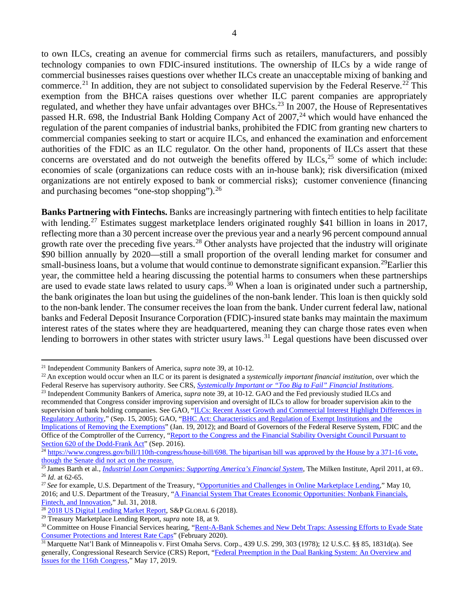to own ILCs, creating an avenue for commercial firms such as retailers, manufacturers, and possibly technology companies to own FDIC-insured institutions. The ownership of ILCs by a wide range of commercial businesses raises questions over whether ILCs create an unacceptable mixing of banking and commerce.<sup>[21](#page-3-0)</sup> In addition, they are not subject to consolidated supervision by the Federal Reserve.<sup>[22](#page-3-1)</sup> This exemption from the BHCA raises questions over whether ILC parent companies are appropriately regulated, and whether they have unfair advantages over BHCs.<sup>[23](#page-3-2)</sup> In 2007, the House of Representatives passed H.R. 698, the Industrial Bank Holding Company Act of 2007,<sup>[24](#page-3-3)</sup> which would have enhanced the regulation of the parent companies of industrial banks, prohibited the FDIC from granting new charters to commercial companies seeking to start or acquire ILCs, and enhanced the examination and enforcement authorities of the FDIC as an ILC regulator. On the other hand, proponents of ILCs assert that these concerns are overstated and do not outweigh the benefits offered by  $ILCs$ ,  $^{25}$  $^{25}$  $^{25}$  some of which include: economies of scale (organizations can reduce costs with an in-house bank); risk diversification (mixed organizations are not entirely exposed to bank or commercial risks); customer convenience (financing and purchasing becomes "one-stop shopping").[26](#page-3-5)

**Banks Partnering with Fintechs.** Banks are increasingly partnering with fintech entities to help facilitate with lending.<sup>[27](#page-3-6)</sup> Estimates suggest marketplace lenders originated roughly \$41 billion in loans in 2017, reflecting more than a 30 percent increase over the previous year and a nearly 96 percent compound annual growth rate over the preceding five years.<sup>[28](#page-3-7)</sup> Other analysts have projected that the industry will originate \$90 billion annually by 2020—still a small proportion of the overall lending market for consumer and small-business loans, but a volume that would continue to demonstrate significant expansion.<sup>29</sup>Earlier this year, the committee held a hearing discussing the potential harms to consumers when these partnerships are used to evade state laws related to usury caps.<sup>[30](#page-3-9)</sup> When a loan is originated under such a partnership, the bank originates the loan but using the guidelines of the non-bank lender. This loan is then quickly sold to the non-bank lender. The consumer receives the loan from the bank. Under current federal law, national banks and Federal Deposit Insurance Corporation (FDIC)-insured state banks may maintain the maximum interest rates of the states where they are headquartered, meaning they can charge those rates even when lending to borrowers in other states with stricter usury laws.<sup>[31](#page-3-10)</sup> Legal questions have been discussed over

<span id="page-3-2"></span><sup>23</sup> Independent Community Bankers of America, *supra* note 39, at 10-12. GAO and the Fed previously studied ILCs and recommended that Congress consider improving supervision and oversight of ILCs to allow for broader supervision akin to the supervision of bank holding companies. See GAO, ["ILCs: Recent Asset Growth and Commercial Interest Highlight Differences in](http://www.gao.gov/products/GAO-05-621)  [Regulatory Authority,](http://www.gao.gov/products/GAO-05-621)" (Sep. 15, 2005); GAO, ["BHC Act: Characteristics and Regulation of Exempt Institutions and the](http://www.gao.gov/products/GAO-12-160)  [Implications of Removing the Exemptions"](http://www.gao.gov/products/GAO-12-160) (Jan. 19, 2012); and Board of Governors of the Federal Reserve System, FDIC and the Office of the Comptroller of the Currency, ["Report to the Congress and the Financial Stability Oversight Council Pursuant to](https://www.federalreserve.gov/newsevents/pressreleases/files/bcreg20160908a1.pdf) Section 620 of the Dodd-Frank Act" (Sep. 2016).

<span id="page-3-0"></span><sup>21</sup> Independent Community Bankers of America, *supra* note 39, at 10-12.

<span id="page-3-1"></span><sup>&</sup>lt;sup>22</sup> An exception would occur when an ILC or its parent is designated a *systemically important financial institution*, over which the Federal Reserve has supervisory authority. See CRS, *[Systemically Important or "Too Big to Fail" Financial Institutions](http://www.crs.gov/Reports/R42150)*.

<span id="page-3-3"></span> $\frac{1}{24}$  [https://www.congress.gov/bill/110th-congress/house-bill/698.](https://www.congress.gov/bill/110th-congress/house-bill/698) The bipartisan bill was approved by the House by a 371-16 vote, though the Senate did not act on the measure.

<span id="page-3-4"></span><sup>&</sup>lt;sup>25</sup> James Barth et al., *[Industrial Loan Companies: Supporting America's Financial System](https://assets1b.milkeninstitute.org/assets/Publication/ResearchReport/PDF/ILC.pdf)*, The Milken Institute, April 2011, at 69.. <sup>26</sup> *Id*. at 62-65.

<span id="page-3-6"></span><span id="page-3-5"></span><sup>&</sup>lt;sup>27</sup> See for example, U.S. Department of the Treasury, ["Opportunities and Challenges in Online Marketplace Lending,](https://www.treasury.gov/connect/blog/Pages/Opportunities-and-Challenges-in-Online-Marketplace-Lending.aspx)" May 10, 2016; and U.S. Department of the Treasury, ["A Financial System That Creates Economic Opportunities: Nonbank Financials,](https://home.treasury.gov/news/press-releases/sm447)  [Fintech, and Innovation,](https://home.treasury.gov/news/press-releases/sm447)" Jul. 31, 2018.<br><sup>28</sup> 2018 US Digital Lending Market Report, S&P GLOBAL 6 (2018).

<span id="page-3-7"></span>

<span id="page-3-9"></span>

<span id="page-3-8"></span><sup>&</sup>lt;sup>29</sup> Treasury Marketplace Lending Report, *supra* note 18, at 9.<br><sup>30</sup> Committee on House Financial Services hearing, "Rent-A-Bank Schemes and New Debt Traps: Assessing Efforts to Evade State [Consumer Protections and Interest Rate Caps"](https://financialservices.house.gov/calendar/eventsingle.aspx?EventID=406022) (February 2020).

<span id="page-3-10"></span><sup>&</sup>lt;sup>31</sup> Marquette Nat'l Bank of Minneapolis v. First Omaha Servs. Corp., 439 U.S. 299, 303 (1978); 12 U.S.C. §§ 85, 1831d(a). See generally, Congressional Research Service (CRS) Report, ["Federal Preemption in the Dual Banking System: An Overview and](https://www.crs.gov/Reports/R45726)  [Issues for the 116th Congress,"](https://www.crs.gov/Reports/R45726) May 17, 2019.